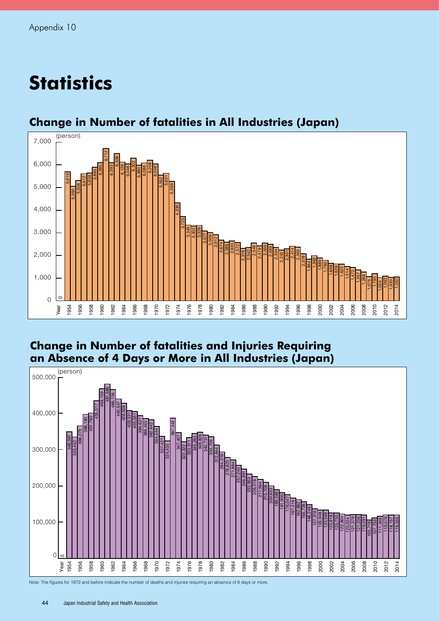# **Statistics**



## **Change in Number of fatalities in All Industries (Japan)**

#### **Change in Number of fatalities and Injuries Requiring an Absence of 4 Days or More in All Industries (Japan)**



Note: The figures for 1972 and before indicate the number of deaths and injuries requiring an absence of 8 days or more.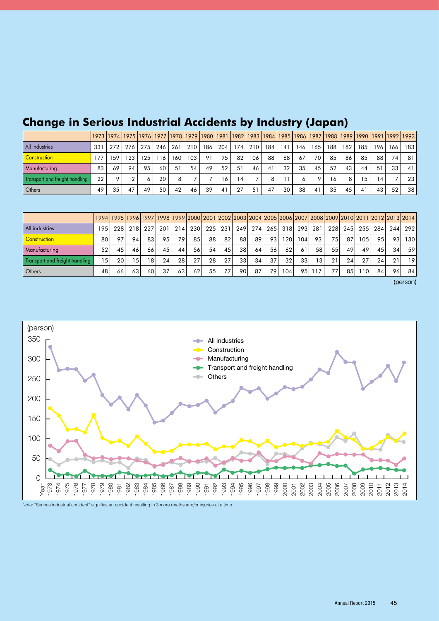|                                |     | 1973  1974  1975  1976  1977  1978  1979  1980  1981  1982  1983  1984  1985  1986  1987  1988  1989  1990  1991  1992  1993 |       |     |     |     |     |     |     |                |     |                |     |     |     |     |     |     |                |     |     |
|--------------------------------|-----|------------------------------------------------------------------------------------------------------------------------------|-------|-----|-----|-----|-----|-----|-----|----------------|-----|----------------|-----|-----|-----|-----|-----|-----|----------------|-----|-----|
| All industries                 | 331 | 272                                                                                                                          | 276 l | 275 | 246 | 261 | 210 | 186 | 204 | 174            | 210 | 184            | 141 | 146 | 165 | 188 | 182 | 185 | 196 I          | 166 | 183 |
| <b>Construction</b>            | 177 | 59                                                                                                                           | 123   | 125 | 116 | 160 | 103 | 91  | 95  | 82             | 106 | 88             | 68  | 67  | 70  | 85  | 86  | 85  | 88             | 74  | 81  |
| <b>Manufacturing</b>           | 83  | 69                                                                                                                           | 94    | 95  | 60  | 51  | 54  | 49  | 52  | 51             | 46  | 4 <sup>1</sup> | 32  | 35  | 45  | 52  | 43  | 44  | 51             | 33  | 41  |
| Transport and freight handling | 22  | o                                                                                                                            | 12    |     | 20  | 8   |     |     | 16  | $\overline{4}$ |     |                |     |     |     | 16  | 8   | 5   | $\overline{4}$ |     | 23  |
| Others                         | 49  | 35                                                                                                                           | 47    | 49  | 50  | 42  | 46  | 39  | 41  | 27             | 51  | 47             | 30  | 38  | 41  | 35  | 45  |     | 43             | 52  | 38  |

## **Change in Serious Industrial Accidents by Industry (Japan)**

|                                |     |     |                  |      |      |     |                 |     |     |                 |     |     |                  |     |                 | 1994  1995  1996  1997  1998  1999  2000   2001   2002   2003   2004   2005   2006   2007   2008   2009   2010   2011   2012   2013   2014 |                 |                  |       |     |         |
|--------------------------------|-----|-----|------------------|------|------|-----|-----------------|-----|-----|-----------------|-----|-----|------------------|-----|-----------------|--------------------------------------------------------------------------------------------------------------------------------------------|-----------------|------------------|-------|-----|---------|
| All industries                 | 195 | 228 | 218 <sup>1</sup> | -227 | -201 | 214 | 230             | 225 | 231 | 249 l           | 274 |     | 26513181         |     | 293 281         | <b>228</b>                                                                                                                                 | 245             | 255l             | 284 l |     | 244 292 |
| Construction                   | 80  | 97  | 94               | 83   | 95   | 79  | 85              | 88  | 821 | 881             | -89 | 931 | 120 <sub>1</sub> | 104 | 93              | 75                                                                                                                                         | 87              | 105 <sub>1</sub> | 95    | 931 | 130     |
| Manufacturing                  | 52  | 45  | 46 I             | 66   | 45   | 44  | 56              | 54  | 45  | 38 l            | 64  | 56  | 62               | 61  | 58              | 55                                                                                                                                         | 49              | 49               | 45    | 34  | 59      |
| Transport and freight handling | 15  | 20  | 151              | 18   | 24   | 28  | 27 <sub>1</sub> | 28  | 27  | 33 <sup>1</sup> | 34  | 37  | 32 <sub>1</sub>  | 331 | 13 <sub>1</sub> | 21                                                                                                                                         | 24 <sup>1</sup> | 27               | 24    |     | 19      |
| Others                         | 48  | 66  | 63               | 60   | 37   | 63  | 62              | 55  | 77, | 901             | 87  | 791 | 104              | 95  | 117             | 77)                                                                                                                                        | 85              | 10 <sub>1</sub>  | 84    | 96  | -84     |

(person)



Note: "Serious industrial accident" signifies an accident resulting in 3 more deaths and/or injuries at a time.